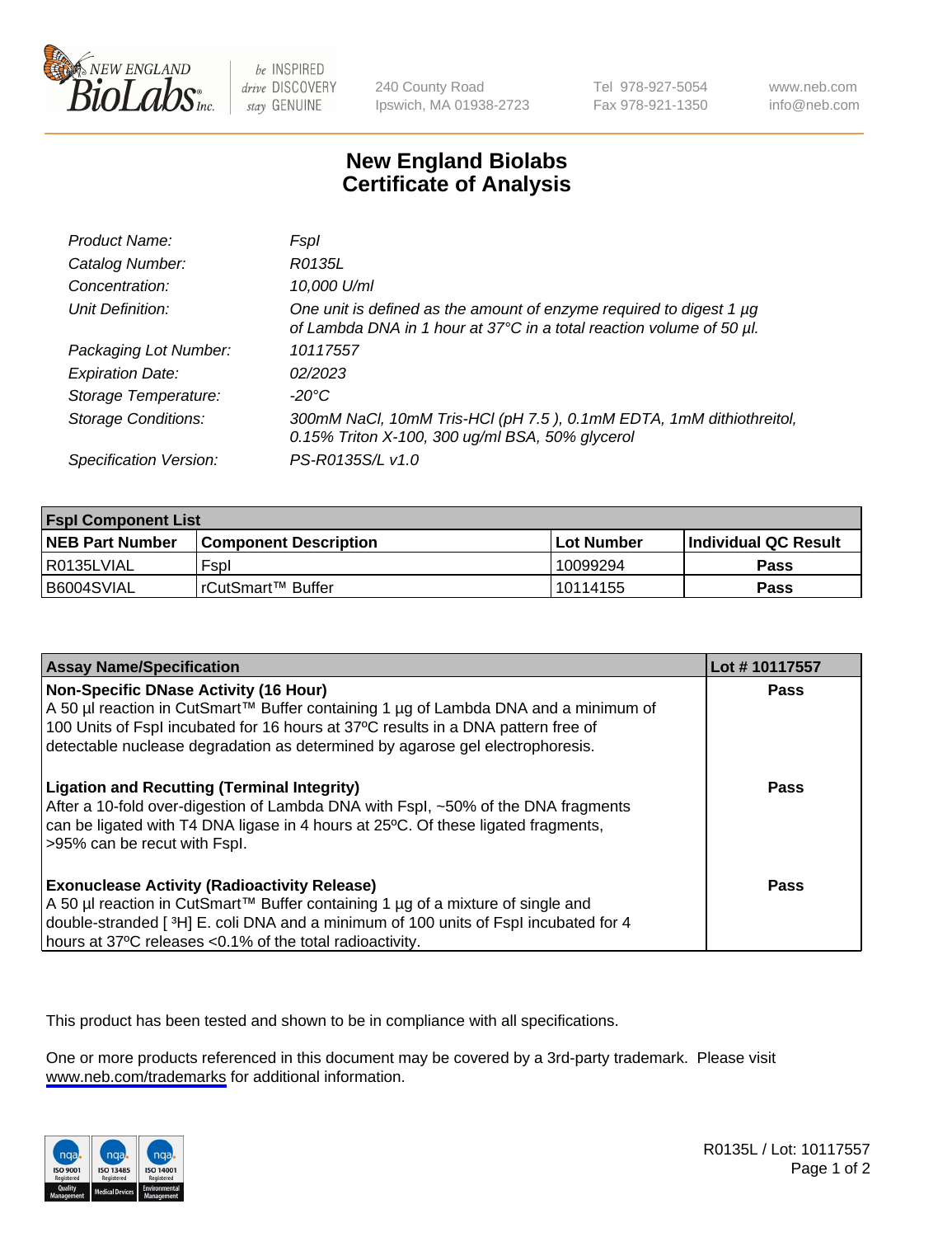

be INSPIRED drive DISCOVERY stay GENUINE

240 County Road Ipswich, MA 01938-2723 Tel 978-927-5054 Fax 978-921-1350

www.neb.com info@neb.com

## **New England Biolabs Certificate of Analysis**

| Product Name:              | Fspl                                                                                                                                        |
|----------------------------|---------------------------------------------------------------------------------------------------------------------------------------------|
| Catalog Number:            | R0135L                                                                                                                                      |
| Concentration:             | 10,000 U/ml                                                                                                                                 |
| Unit Definition:           | One unit is defined as the amount of enzyme required to digest 1 µg<br>of Lambda DNA in 1 hour at 37°C in a total reaction volume of 50 µl. |
| Packaging Lot Number:      | 10117557                                                                                                                                    |
| <b>Expiration Date:</b>    | 02/2023                                                                                                                                     |
| Storage Temperature:       | -20°C                                                                                                                                       |
| <b>Storage Conditions:</b> | 300mM NaCl, 10mM Tris-HCl (pH 7.5), 0.1mM EDTA, 1mM dithiothreitol,<br>0.15% Triton X-100, 300 ug/ml BSA, 50% glycerol                      |
| Specification Version:     | PS-R0135S/L v1.0                                                                                                                            |

| <b>Fspl Component List</b> |                              |                   |                       |  |
|----------------------------|------------------------------|-------------------|-----------------------|--|
| <b>NEB Part Number</b>     | <b>Component Description</b> | <b>Lot Number</b> | ∣Individual QC Result |  |
| l R0135LVIAL               | Fspl                         | 10099294          | <b>Pass</b>           |  |
| B6004SVIAL                 | rCutSmart™ Buffer            | 10114155          | <b>Pass</b>           |  |

| <b>Assay Name/Specification</b>                                                                                                                                                                                                                                                                           | Lot #10117557 |
|-----------------------------------------------------------------------------------------------------------------------------------------------------------------------------------------------------------------------------------------------------------------------------------------------------------|---------------|
| <b>Non-Specific DNase Activity (16 Hour)</b><br>A 50 µl reaction in CutSmart™ Buffer containing 1 µg of Lambda DNA and a minimum of<br>100 Units of Fspl incubated for 16 hours at 37°C results in a DNA pattern free of<br>detectable nuclease degradation as determined by agarose gel electrophoresis. | Pass          |
| <b>Ligation and Recutting (Terminal Integrity)</b><br>After a 10-fold over-digestion of Lambda DNA with Fspl, ~50% of the DNA fragments<br>can be ligated with T4 DNA ligase in 4 hours at 25°C. Of these ligated fragments,<br>>95% can be recut with Fspl.                                              | Pass          |
| <b>Exonuclease Activity (Radioactivity Release)</b><br>  A 50 µl reaction in CutSmart™ Buffer containing 1 µg of a mixture of single and<br>double-stranded [3H] E. coli DNA and a minimum of 100 units of Fspl incubated for 4<br>hours at 37°C releases <0.1% of the total radioactivity.               | Pass          |

This product has been tested and shown to be in compliance with all specifications.

One or more products referenced in this document may be covered by a 3rd-party trademark. Please visit <www.neb.com/trademarks>for additional information.